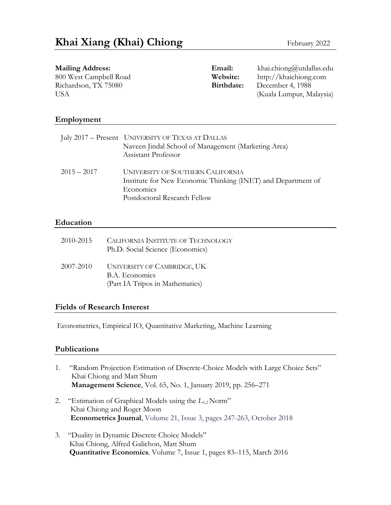| <b>Mailing Address:</b> | Email:     | khai.chiong@utdallas.edu |
|-------------------------|------------|--------------------------|
| 800 West Campbell Road  | Website:   | http://khaichiong.com    |
| Richardson, TX 75080    | Birthdate: | December 4, 1988         |
| USA                     |            | (Kuala Lumpur, Malaysia) |
|                         |            |                          |
|                         |            |                          |

#### **Employment**

|               | July 2017 – Present UNIVERSITY OF TEXAS AT DALLAS<br>Naveen Jindal School of Management (Marketing Area)<br>Assistant Professor                       |
|---------------|-------------------------------------------------------------------------------------------------------------------------------------------------------|
| $2015 - 2017$ | <b>UNIVERSITY OF SOUTHERN CALIFORNIA</b><br>Institute for New Economic Thinking (INET) and Department of<br>Economics<br>Postdoctoral Research Fellow |

#### **Education**

| 2010-2015 | CALIFORNIA INSTITUTE OF TECHNOLOGY<br>Ph.D. Social Science (Economics)                         |
|-----------|------------------------------------------------------------------------------------------------|
| 2007-2010 | <b>UNIVERSITY OF CAMBRIDGE, UK</b><br><b>B.A.</b> Economics<br>(Part IA Tripos in Mathematics) |

#### **Fields of Research Interest**

Econometrics, Empirical IO, Quantitative Marketing, Machine Learning

#### **Publications**

- 1. "Random Projection Estimation of Discrete-Choice Models with Large Choice Sets" Khai Chiong and Matt Shum **Management Science**, Vol. 65, No. 1, January 2019, pp. 256–271
- 2. "Estimation of Graphical Models using the *L*1,2 Norm" Khai Chiong and Roger Moon  **Econometrics Journal**, Volume 21, Issue 3, pages 247-263, October 2018
- 3. "Duality in Dynamic Discrete Choice Models" Khai Chiong, Alfred Galichon, Matt Shum **Quantitative Economics**, Volume 7, Issue 1, pages 83–115, March 2016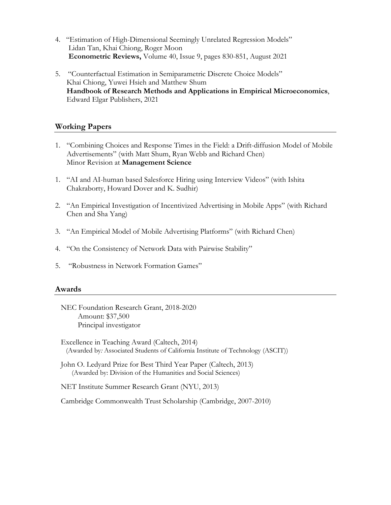- 4. "Estimation of High-Dimensional Seemingly Unrelated Regression Models" Lidan Tan, Khai Chiong, Roger Moon **Econometric Reviews,** Volume 40, Issue 9, pages 830-851, August 2021
- 5. "Counterfactual Estimation in Semiparametric Discrete Choice Models" Khai Chiong, Yuwei Hsieh and Matthew Shum **Handbook of Research Methods and Applications in Empirical Microeconomics**, Edward Elgar Publishers, 2021

## **Working Papers**

- 1. "Combining Choices and Response Times in the Field: a Drift-diffusion Model of Mobile Advertisements" (with Matt Shum, Ryan Webb and Richard Chen) Minor Revision at **Management Science**
- 1. "AI and AI-human based Salesforce Hiring using Interview Videos" (with Ishita Chakraborty, Howard Dover and K. Sudhir)
- 2. "An Empirical Investigation of Incentivized Advertising in Mobile Apps" (with Richard Chen and Sha Yang)
- 3. "An Empirical Model of Mobile Advertising Platforms" (with Richard Chen)
- 4. "On the Consistency of Network Data with Pairwise Stability"
- 5. "Robustness in Network Formation Games"

#### **Awards**

- NEC Foundation Research Grant, 2018-2020 Amount: \$37,500 Principal investigator
- Excellence in Teaching Award (Caltech, 2014) (Awarded by*:* Associated Students of California Institute of Technology (ASCIT))
- John O. Ledyard Prize for Best Third Year Paper (Caltech, 2013) (Awarded by: Division of the Humanities and Social Sciences)

NET Institute Summer Research Grant (NYU, 2013)

Cambridge Commonwealth Trust Scholarship (Cambridge, 2007-2010)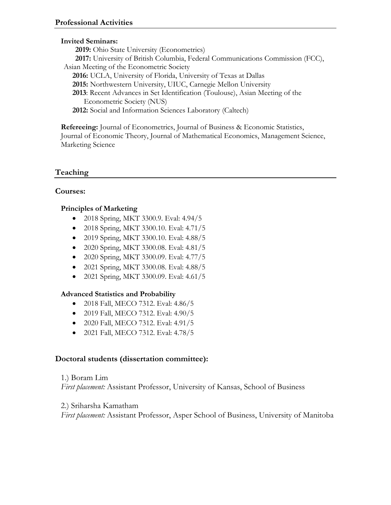## **Invited Seminars:**

**2019:** Ohio State University (Econometrics)  **2017:** University of British Columbia, Federal Communications Commission (FCC), Asian Meeting of the Econometric Society **2016:** UCLA, University of Florida, University of Texas at Dallas **2015:** Northwestern University, UIUC, Carnegie Mellon University **2013**: Recent Advances in Set Identification (Toulouse), Asian Meeting of the Econometric Society (NUS) **2012:** Social and Information Sciences Laboratory (Caltech)

**Refereeing:** Journal of Econometrics, Journal of Business & Economic Statistics, Journal of Economic Theory, Journal of Mathematical Economics, Management Science, Marketing Science

# **Teaching**

## **Courses:**

### **Principles of Marketing**

- 2018 Spring, MKT 3300.9. Eval: 4.94/5
- 2018 Spring, MKT 3300.10. Eval: 4.71/5
- 2019 Spring, MKT 3300.10. Eval: 4.88/5
- 2020 Spring, MKT 3300.08. Eval: 4.81/5
- 2020 Spring, MKT 3300.09. Eval: 4.77/5
- 2021 Spring, MKT 3300.08. Eval: 4.88/5
- 2021 Spring, MKT 3300.09. Eval: 4.61/5

## **Advanced Statistics and Probability**

- 2018 Fall, MECO 7312. Eval: 4.86/5
- 2019 Fall, MECO 7312. Eval: 4.90/5
- 2020 Fall, MECO 7312. Eval: 4.91/5
- 2021 Fall, MECO 7312. Eval: 4.78/5

## **Doctoral students (dissertation committee):**

#### 1.) Boram Lim

*First placement:* Assistant Professor, University of Kansas, School of Business

#### 2.) Sriharsha Kamatham

*First placement:* Assistant Professor, Asper School of Business, University of Manitoba